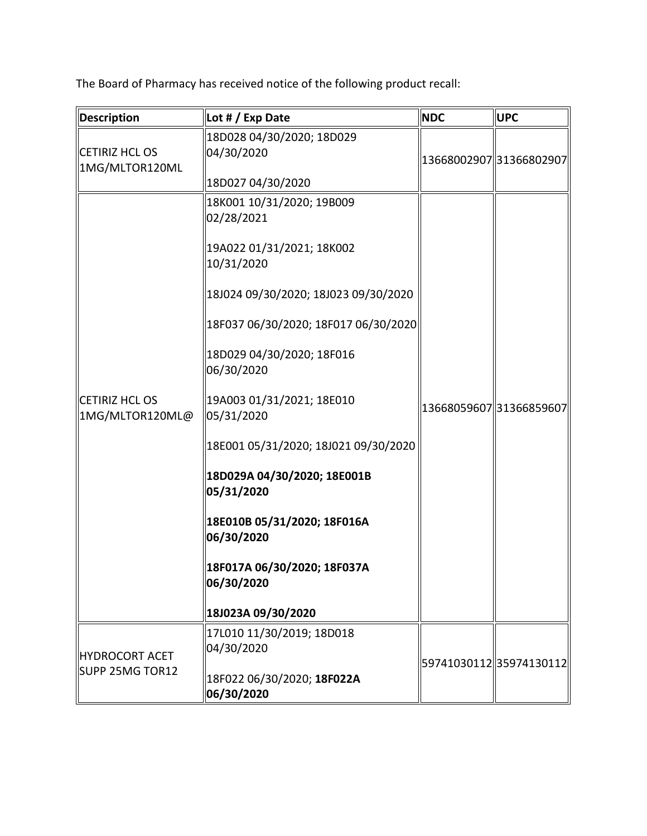The Board of Pharmacy has received notice of the following product recall:

| <b>Description</b>                       | Lot # / Exp Date                                                                                                                                                                                                                                                                                                                                                                                                                                              | <b>NDC</b> | <b>UPC</b>               |
|------------------------------------------|---------------------------------------------------------------------------------------------------------------------------------------------------------------------------------------------------------------------------------------------------------------------------------------------------------------------------------------------------------------------------------------------------------------------------------------------------------------|------------|--------------------------|
| <b>CETIRIZ HCL OS</b><br>1MG/MLTOR120ML  | 18D028 04/30/2020; 18D029<br>04/30/2020<br>18D027 04/30/2020                                                                                                                                                                                                                                                                                                                                                                                                  |            | 13668002907 31366802907  |
| <b>CETIRIZ HCL OS</b><br>1MG/MLTOR120ML@ | 18K001 10/31/2020; 19B009<br>02/28/2021<br>19A022 01/31/2021; 18K002<br>10/31/2020<br>18J024 09/30/2020; 18J023 09/30/2020<br>18F037 06/30/2020; 18F017 06/30/2020<br>18D029 04/30/2020; 18F016<br>06/30/2020<br>19A003 01/31/2021; 18E010<br>05/31/2020<br>18E001 05/31/2020; 18J021 09/30/2020<br>18D029A 04/30/2020; 18E001B<br>05/31/2020<br>18E010B 05/31/2020; 18F016A<br>06/30/2020<br>18F017A 06/30/2020; 18F037A<br>06/30/2020<br>18J023A 09/30/2020 |            | 13668059607 31366859607  |
| <b>HYDROCORT ACET</b><br>SUPP 25MG TOR12 | 17L010 11/30/2019; 18D018<br>04/30/2020<br>18F022 06/30/2020; 18F022A<br>06/30/2020                                                                                                                                                                                                                                                                                                                                                                           |            | 59741030112  35974130112 |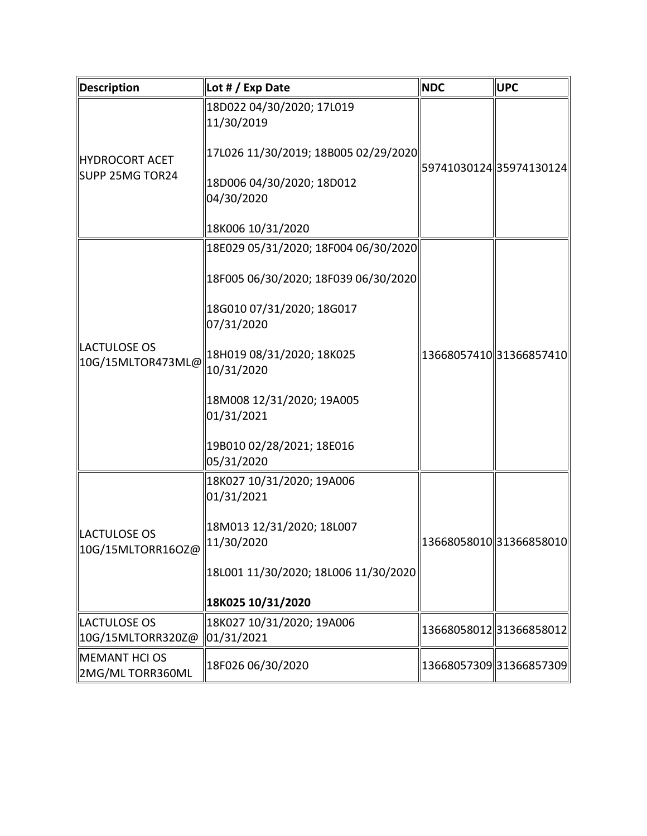| <b>Description</b>                       | Lot # / Exp Date                        | <b>NDC</b> | <b>UPC</b>              |
|------------------------------------------|-----------------------------------------|------------|-------------------------|
| <b>HYDROCORT ACET</b><br>SUPP 25MG TOR24 | 18D022 04/30/2020; 17L019<br>11/30/2019 |            |                         |
|                                          | 17L026 11/30/2019; 18B005 02/29/2020    |            | 59741030124 35974130124 |
|                                          | 18D006 04/30/2020; 18D012<br>04/30/2020 |            |                         |
|                                          | 18K006 10/31/2020                       |            |                         |
| <b>LACTULOSE OS</b><br>10G/15MLTOR473ML@ | 18E029 05/31/2020; 18F004 06/30/2020    |            |                         |
|                                          | 18F005 06/30/2020; 18F039 06/30/2020    |            |                         |
|                                          | 18G010 07/31/2020; 18G017<br>07/31/2020 |            |                         |
|                                          | 18H019 08/31/2020; 18K025<br>10/31/2020 |            | 13668057410 31366857410 |
|                                          | 18M008 12/31/2020; 19A005<br>01/31/2021 |            |                         |
|                                          | 19B010 02/28/2021; 18E016<br>05/31/2020 |            |                         |
| <b>LACTULOSE OS</b><br>10G/15MLTORR16OZ@ | 18K027 10/31/2020; 19A006<br>01/31/2021 |            |                         |
|                                          | 18M013 12/31/2020; 18L007<br>11/30/2020 |            | 13668058010 31366858010 |
|                                          | 18L001 11/30/2020; 18L006 11/30/2020    |            |                         |
|                                          | 18K025 10/31/2020                       |            |                         |
| LACTULOSE OS<br>10G/15MLTORR320Z@        | 18K027 10/31/2020; 19A006<br>01/31/2021 |            | 1366805801231366858012  |
| <b>MEMANT HCI OS</b><br>2MG/MLTORR360ML  | 18F026 06/30/2020                       |            | 13668057309 31366857309 |